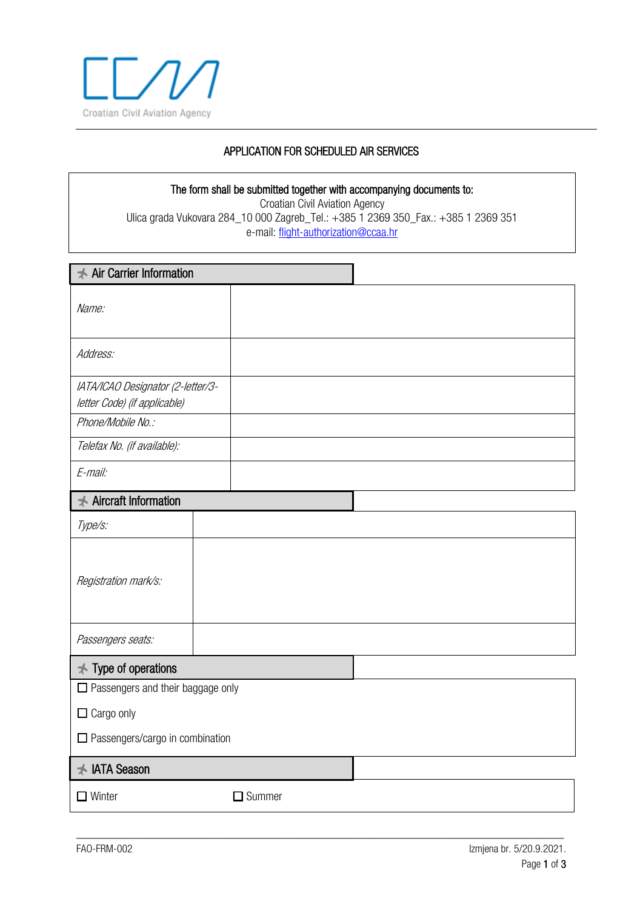

# APPLICATION FOR SCHEDULED AIR SERVICES

#### The form shall be submitted together with accompanying documents to: Croatian Civil Aviation Agency Ulica grada Vukovara 284\_10 000 Zagreb\_Tel.: +385 1 2369 350\_Fax.: +385 1 2369 351 e-mail: [flight-authorization@ccaa.hr](mailto:flight-authorization@ccaa.hr)

| <b>★ Air Carrier Information</b>                                  |               |  |  |  |  |
|-------------------------------------------------------------------|---------------|--|--|--|--|
| Name:                                                             |               |  |  |  |  |
| Address:                                                          |               |  |  |  |  |
| IATA/ICAO Designator (2-letter/3-<br>letter Code) (if applicable) |               |  |  |  |  |
| Phone/Mobile No.:                                                 |               |  |  |  |  |
| Telefax No. (if available):                                       |               |  |  |  |  |
| E-mail:                                                           |               |  |  |  |  |
| <b>★ Aircraft Information</b>                                     |               |  |  |  |  |
| Type/s:                                                           |               |  |  |  |  |
| Registration mark/s:                                              |               |  |  |  |  |
| Passengers seats:                                                 |               |  |  |  |  |
| $\star$ Type of operations                                        |               |  |  |  |  |
| $\Box$ Passengers and their baggage only                          |               |  |  |  |  |
| $\Box$ Cargo only                                                 |               |  |  |  |  |
| $\Box$ Passengers/cargo in combination                            |               |  |  |  |  |
| <b>★ IATA Season</b>                                              |               |  |  |  |  |
| $\Box$ Winter                                                     | $\Box$ Summer |  |  |  |  |

\_\_\_\_\_\_\_\_\_\_\_\_\_\_\_\_\_\_\_\_\_\_\_\_\_\_\_\_\_\_\_\_\_\_\_\_\_\_\_\_\_\_\_\_\_\_\_\_\_\_\_\_\_\_\_\_\_\_\_\_\_\_\_\_\_\_\_\_\_\_\_\_\_\_\_\_\_\_\_\_\_\_\_\_\_\_\_\_\_\_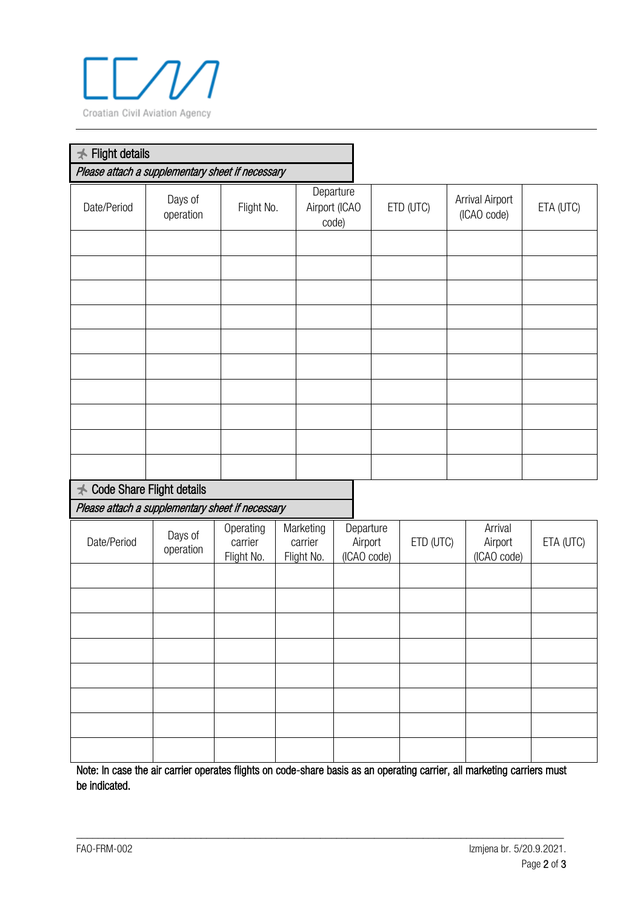

| <b>Flight details</b><br>$\bigstar$                                                      |                      |                                    |  |                                     |                                     |           |           |                                   |           |
|------------------------------------------------------------------------------------------|----------------------|------------------------------------|--|-------------------------------------|-------------------------------------|-----------|-----------|-----------------------------------|-----------|
| Please attach a supplementary sheet if necessary                                         |                      |                                    |  |                                     |                                     |           |           |                                   |           |
| Date/Period                                                                              | Days of<br>operation | Flight No.                         |  | Departure<br>Airport (ICAO<br>code) |                                     | ETD (UTC) |           | Arrival Airport<br>(ICAO code)    | ETA (UTC) |
|                                                                                          |                      |                                    |  |                                     |                                     |           |           |                                   |           |
|                                                                                          |                      |                                    |  |                                     |                                     |           |           |                                   |           |
|                                                                                          |                      |                                    |  |                                     |                                     |           |           |                                   |           |
|                                                                                          |                      |                                    |  |                                     |                                     |           |           |                                   |           |
|                                                                                          |                      |                                    |  |                                     |                                     |           |           |                                   |           |
| Code Share Flight details<br>$\star$<br>Please attach a supplementary sheet if necessary |                      |                                    |  |                                     |                                     |           |           |                                   |           |
|                                                                                          |                      |                                    |  |                                     |                                     |           |           |                                   |           |
| Date/Period                                                                              | Days of<br>operation | Operating<br>carrier<br>Flight No. |  | Marketing<br>carrier<br>Flight No.  | Departure<br>Airport<br>(ICAO code) |           | ETD (UTC) | Arrival<br>Airport<br>(ICAO code) | ETA (UTC) |
|                                                                                          |                      |                                    |  |                                     |                                     |           |           |                                   |           |
|                                                                                          |                      |                                    |  |                                     |                                     |           |           |                                   |           |
|                                                                                          |                      |                                    |  |                                     |                                     |           |           |                                   |           |
|                                                                                          |                      |                                    |  |                                     |                                     |           |           |                                   |           |
|                                                                                          |                      |                                    |  |                                     |                                     |           |           |                                   |           |
|                                                                                          |                      |                                    |  |                                     |                                     |           |           |                                   |           |
|                                                                                          |                      |                                    |  |                                     |                                     |           |           |                                   |           |
|                                                                                          |                      |                                    |  |                                     |                                     |           |           |                                   |           |

Note: In case the air carrier operates flights on code-share basis as an operating carrier, all marketing carriers must be indicated.

\_\_\_\_\_\_\_\_\_\_\_\_\_\_\_\_\_\_\_\_\_\_\_\_\_\_\_\_\_\_\_\_\_\_\_\_\_\_\_\_\_\_\_\_\_\_\_\_\_\_\_\_\_\_\_\_\_\_\_\_\_\_\_\_\_\_\_\_\_\_\_\_\_\_\_\_\_\_\_\_\_\_\_\_\_\_\_\_\_\_